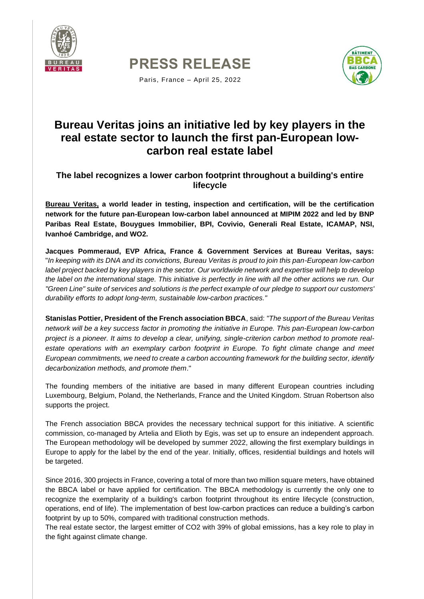





Paris, France – April 25, 2022

# **Bureau Veritas joins an initiative led by key players in the real estate sector to launch the first pan-European lowcarbon real estate label**

**The label recognizes a lower carbon footprint throughout a building's entire lifecycle**

**[Bureau Veritas,](https://group.bureauveritas.com/) a world leader in testing, inspection and certification, will be the certification network for the future pan-European low-carbon label announced at MIPIM 2022 and led by BNP Paribas Real Estate, Bouygues Immobilier, BPI, Covivio, Generali Real Estate, ICAMAP, NSI, Ivanhoé Cambridge, and WO2.**

**Jacques Pommeraud, EVP Africa, France & Government Services at Bureau Veritas, says:**  "*In keeping with its DNA and its convictions, Bureau Veritas is proud to join this pan-European low-carbon label project backed by key players in the sector. Our worldwide network and expertise will help to develop the label on the international stage. This initiative is perfectly in line with all the other actions we run. Our "Green Line" suite of services and solutions is the perfect example of our pledge to support our customers' durability efforts to adopt long-term, sustainable low-carbon practices."* 

**Stanislas Pottier, President of the French association BBCA**, said: *"The support of the Bureau Veritas network will be a key success factor in promoting the initiative in Europe. This pan-European low-carbon project is a pioneer. It aims to develop a clear, unifying, single-criterion carbon method to promote real*estate operations with an exemplary carbon footprint in Europe. To fight climate change and meet *European commitments, we need to create a carbon accounting framework for the building sector, identify decarbonization methods, and promote them*."

The founding members of the initiative are based in many different European countries including Luxembourg, Belgium, Poland, the Netherlands, France and the United Kingdom. Struan Robertson also supports the project.

The French association BBCA provides the necessary technical support for this initiative. A scientific commission, co-managed by Artelia and Elioth by Egis, was set up to ensure an independent approach. The European methodology will be developed by summer 2022, allowing the first exemplary buildings in Europe to apply for the label by the end of the year. Initially, offices, residential buildings and hotels will be targeted.

Since 2016, 300 projects in France, covering a total of more than two million square meters, have obtained the BBCA label or have applied for certification. The BBCA methodology is currently the only one to recognize the exemplarity of a building's carbon footprint throughout its entire lifecycle (construction, operations, end of life). The implementation of best low-carbon practices can reduce a building's carbon footprint by up to 50%, compared with traditional construction methods.

The real estate sector, the largest emitter of CO2 with 39% of global emissions, has a key role to play in the fight against climate change.